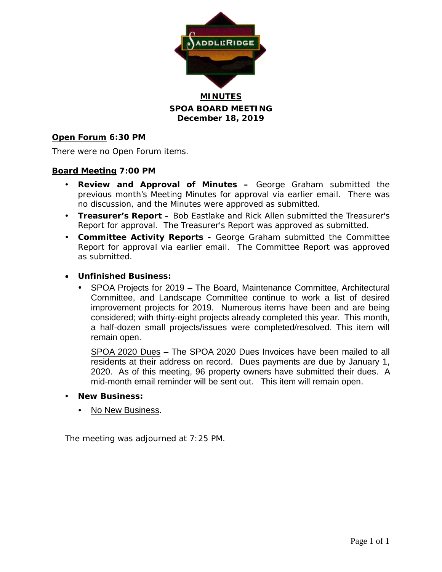

**MINUTES SPOA BOARD MEETING December 18, 2019**

## **Open Forum 6:30 PM**

There were no Open Forum items.

### **Board Meeting 7:00 PM**

- **Review and Approval of Minutes –** George Graham submitted the previous month's Meeting Minutes for approval via earlier email. There was no discussion, and the Minutes were approved as submitted.
- **Treasurer's Report –** Bob Eastlake and Rick Allen submitted the Treasurer's Report for approval. The Treasurer's Report was approved as submitted.
- **Committee Activity Reports -** George Graham submitted the Committee Report for approval via earlier email. The Committee Report was approved as submitted.
- **Unfinished Business:**
	- SPOA Projects for 2019 The Board, Maintenance Committee, Architectural Committee, and Landscape Committee continue to work a list of desired improvement projects for 2019. Numerous items have been and are being considered; with thirty-eight projects already completed this year. This month, a half-dozen small projects/issues were completed/resolved. This item will remain open.

SPOA 2020 Dues – The SPOA 2020 Dues Invoices have been mailed to all residents at their address on record. Dues payments are due by January 1, 2020. As of this meeting, 96 property owners have submitted their dues. A mid-month email reminder will be sent out. This item will remain open.

- **New Business:**
	- No New Business.

The meeting was adjourned at 7:25 PM.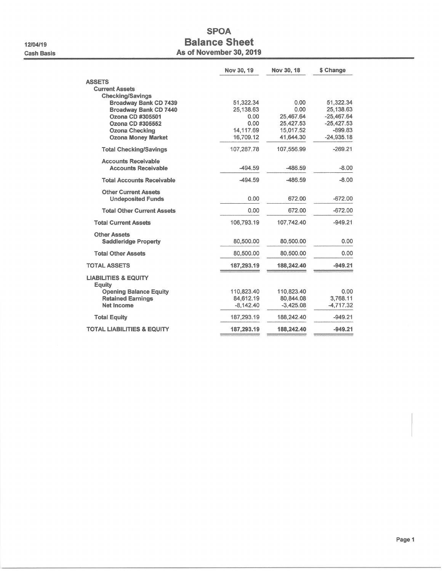12/04/19 **Cash Basis** 

## **SPOA Balance Sheet** As of November 30, 2019

|                                                  | Nov 30, 19             | Nov 30, 18             | \$ Change                 |
|--------------------------------------------------|------------------------|------------------------|---------------------------|
| <b>ASSETS</b>                                    |                        |                        |                           |
| <b>Current Assets</b>                            |                        |                        |                           |
| <b>Checking/Savings</b><br>Broadway Bank CD 7439 | 51,322.34              | 0.00                   | 51,322.34                 |
| <b>Broadway Bank CD 7440</b>                     | 25,138.63              | 0.00                   | 25,138.63                 |
| Ozona CD #305501                                 | 0.00                   | 25,467.64              | $-25,467.64$              |
| Ozona CD #305552                                 | 0.00                   | 25,427.53              | $-25,427.53$              |
| <b>Ozona Checking</b>                            | 14,117.69<br>16,709.12 | 15,017.52<br>41.644.30 | $-899.83$<br>$-24.935.18$ |
| <b>Ozona Money Market</b>                        |                        |                        |                           |
| <b>Total Checking/Savings</b>                    | 107,287.78             | 107,556.99             | $-269.21$                 |
| <b>Accounts Receivable</b>                       |                        |                        |                           |
| <b>Accounts Receivable</b>                       | $-494.59$              | $-486.59$              | $-8.00$                   |
| <b>Total Accounts Receivable</b>                 | $-494.59$              | $-486.59$              | $-8.00$                   |
| <b>Other Current Assets</b>                      |                        |                        |                           |
| <b>Undeposited Funds</b>                         | 0.00                   | 672.00                 | $-672.00$                 |
| <b>Total Other Current Assets</b>                | 0.00                   | 672.00                 | $-672.00$                 |
| <b>Total Current Assets</b>                      | 106,793.19             | 107,742.40             | $-949.21$                 |
| <b>Other Assets</b>                              |                        |                        |                           |
| <b>Saddleridge Property</b>                      | 80,500.00              | 80,500.00              | 0.00                      |
| <b>Total Other Assets</b>                        | 80,500.00              | 80,500.00              | 0.00                      |
| <b>TOTAL ASSETS</b>                              | 187,293.19             | 188,242.40             | $-949.21$                 |
| <b>LIABILITIES &amp; EQUITY</b><br>Equity        |                        |                        |                           |
| <b>Opening Balance Equity</b>                    | 110,823.40             | 110.823.40             | 0.00                      |
| <b>Retained Earnings</b>                         | 84,612.19              | 80,844.08              | 3,768.11                  |
| Net Income                                       | $-8,142.40$            | $-3,425.08$            | $-4,717.32$               |
| <b>Total Equity</b>                              | 187,293.19             | 188,242.40             | $-949.21$                 |
| <b>TOTAL LIABILITIES &amp; EQUITY</b>            | 187,293.19             | 188,242.40             | $-949.21$                 |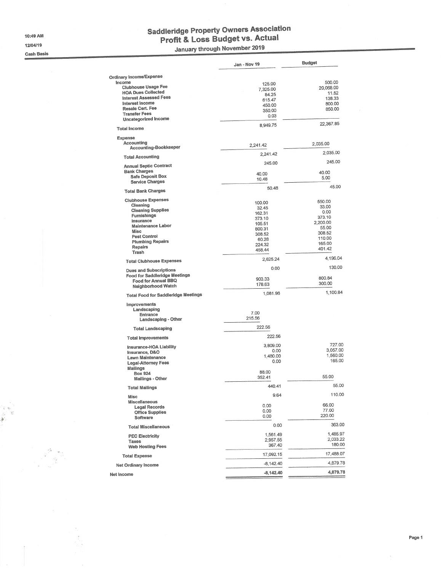10:49 AM

12/04/19

**Cash Basis** 

 $\mathcal{L}$ 

# Saddleridge Property Owners Association<br>Profit & Loss Budget vs. Actual

January through November 2019

|                                                                       | Jan - Nov 19     | <b>Budget</b>       |
|-----------------------------------------------------------------------|------------------|---------------------|
|                                                                       |                  |                     |
| <b>Ordinary Income/Expense</b>                                        |                  |                     |
| Income<br><b>Clubhouse Usage Fee</b>                                  | 125.00           | 500.00<br>20,068.00 |
| <b>HOA Dues Collected</b>                                             | 7,325.00         | 11.52               |
| <b>Interest Assessed Fees</b>                                         | 84.25<br>615.47  | 138,33              |
| Interest Income                                                       | 450.00           | 800.00              |
| Resale Cert, Fee                                                      | 350.00           | 850.00              |
| <b>Transfer Fees</b><br><b>Uncategorized Income</b>                   | 0.03             |                     |
|                                                                       | 8,949.75         | 22,367.85           |
| <b>Total Income</b>                                                   |                  |                     |
| Expense                                                               |                  |                     |
| Accounting<br>Accounting-Bookkeeper                                   | 2.241.42         | 2,035.00            |
|                                                                       | 2,241.42         | 2,035.00            |
| <b>Total Accounting</b>                                               |                  | 245.00              |
| <b>Annual Septic Contract</b>                                         | 245.00           |                     |
| <b>Bank Charges</b>                                                   | 40.00            | 40.00               |
| <b>Safe Deposit Box</b>                                               | 10.48            | 5.00                |
| <b>Service Charges</b>                                                | 50.48            | 45.00               |
| <b>Total Bank Charges</b>                                             |                  |                     |
| <b>Clubhouse Expenses</b>                                             | 100.00           | 550.00              |
| Cleaning                                                              | 32.45            | 33.00               |
| <b>Cleaning Supplies</b><br>Furnishings                               | 162.31           | 0.00                |
| Insurance                                                             | 373.10           | 373.10              |
| <b>Maintenance Labor</b>                                              | 105.51           | 2,200.00<br>55.00   |
| Misc                                                                  | 800.31<br>308.52 | 308.52              |
| <b>Pest Control</b>                                                   | 60.28            | 110.00              |
| <b>Plumbing Repairs</b>                                               | 224.32           | 165.00              |
| Repairs<br>Trash                                                      | 458.44           | 401.42              |
| <b>Total Clubhouse Expenses</b>                                       | 2,625.24         | 4,196.04            |
|                                                                       | 0.00             | 130.00              |
| <b>Dues and Subscriptions</b><br><b>Food for Saddleridge Meetings</b> |                  |                     |
| <b>Food for Annual BBQ</b>                                            | 903.33           | 800.84              |
| Neighborhood Watch                                                    | 178.63           | 300.00              |
| <b>Total Food for Saddleridge Meetings</b>                            | 1,081.96         | 1,100.84            |
| Improvements                                                          |                  |                     |
| Landscaping                                                           | 7.00             |                     |
| Entrance<br><b>Landscaping - Other</b>                                | 215.56           |                     |
|                                                                       | 222.56           |                     |
| <b>Total Landscaping</b>                                              | 222.56           |                     |
| <b>Total Improvements</b>                                             |                  |                     |
| Insurance-HOA Liability                                               | 3,809.00         | 727.00<br>3,057.00  |
| Insurance, D&O                                                        | 0.00<br>1,480.00 | 1,560.00            |
| <b>Lawn Maintenance</b>                                               | 0.00             | 165.00              |
| <b>Legal-Attorney Fees</b><br><b>Mailings</b>                         |                  |                     |
| <b>Box 924</b>                                                        | 88,00            |                     |
| <b>Mailings - Other</b>                                               | 352.41           | 55.00               |
| <b>Total Mailings</b>                                                 | 440.41           | 55.00               |
| <b>Misc</b>                                                           | 9.64             | 110.00              |
| Miscellaneous                                                         | 0.00             | 66.00               |
| <b>Legal Records</b>                                                  | 0.00             | 77.00               |
| <b>Office Supplies</b><br>Software                                    | 0.00             | 220.00              |
| <b>Total Miscellaneous</b>                                            | 0.00             | 363.00              |
|                                                                       | 1,561.49         | 1,485.97            |
| <b>PEC Electricity</b>                                                | 2,957.55         | 2,033.22            |
| Taxes<br><b>Web Hosting Fees</b>                                      | 367.40           | 180.00              |
|                                                                       | 17,092.15        | 17,488.07           |
| <b>Total Expense</b>                                                  |                  |                     |
| <b>Net Ordinary Income</b>                                            | $-8,142.40$      | 4,879.78            |
| Net Income                                                            | -8,142.40        | 4,879.78            |

 $\bar{z}$